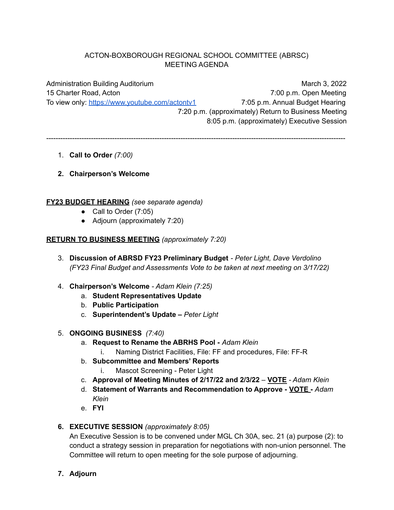# ACTON-BOXBOROUGH REGIONAL SCHOOL COMMITTEE (ABRSC) MEETING AGENDA

Administration Building Auditorium March 3, 2022 15 Charter Road, Acton 7:00 p.m. Open Meeting To view only: <https://www.youtube.com/actontv1> 7:05 p.m. Annual Budget Hearing 7:20 p.m. (approximately) Return to Business Meeting 8:05 p.m. (approximately) Executive Session

-------------------------------------------------------------------------------------------------------------------------------

- 1. **Call to Order** *(7:00)*
- **2. Chairperson's Welcome**

## **FY23 BUDGET HEARING** *(see separate agenda)*

- Call to Order  $(7:05)$
- Adjourn (approximately 7:20)

# **RETURN TO BUSINESS MEETING** *(approximately 7:20)*

- 3. **Discussion of ABRSD FY23 Preliminary Budget** *- Peter Light, Dave Verdolino (FY23 Final Budget and Assessments Vote to be taken at next meeting on 3/17/22)*
- 4. **Chairperson's Welcome** *- Adam Klein (7:25)*
	- a. **Student Representatives Update**
	- b. **Public Participation**
	- c. **Superintendent's Update –** *Peter Light*
- 5. **ONGOING BUSINESS** *(7:40)*
	- a. **Request to Rename the ABRHS Pool -** *Adam Klein*
		- i. Naming District Facilities, File: FF and procedures, File: FF-R
	- b. **Subcommittee and Members' Reports**
		- i. Mascot Screening Peter Light
	- c. **Approval of Meeting Minutes of 2/17/22 and 2/3/22 VOTE** *- Adam Klein*
	- d. **Statement of Warrants and Recommendation to Approve - VOTE -** *Adam Klein*
	- e. **FYI**

# **6. EXECUTIVE SESSION** *(approximately 8:05)*

An Executive Session is to be convened under MGL Ch 30A, sec. 21 (a) purpose (2): to conduct a strategy session in preparation for negotiations with non-union personnel. The Committee will return to open meeting for the sole purpose of adjourning.

**7. Adjourn**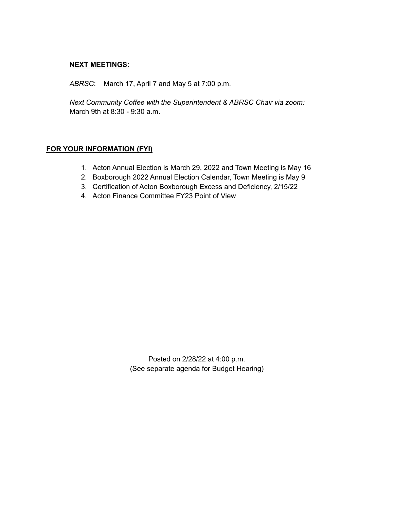### **NEXT MEETINGS:**

*ABRSC*: March 17, April 7 and May 5 at 7:00 p.m.

*Next Community Coffee with the Superintendent & ABRSC Chair via zoom:* March 9th at 8:30 - 9:30 a.m.

# **FOR YOUR INFORMATION (FYI)**

- 1. Acton Annual Election is March 29, 2022 and Town Meeting is May 16
- 2. Boxborough 2022 Annual Election Calendar, Town Meeting is May 9
- 3. Certification of Acton Boxborough Excess and Deficiency, 2/15/22
- 4. Acton Finance Committee FY23 Point of View

Posted on 2/28/22 at 4:00 p.m. (See separate agenda for Budget Hearing)